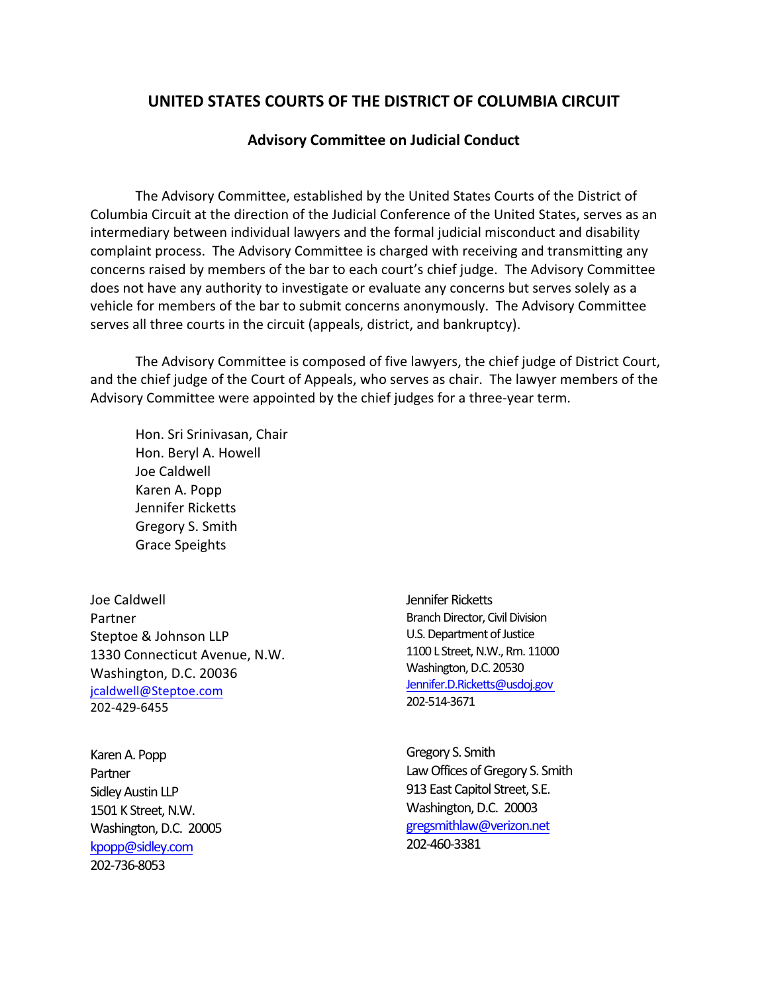## **UNITED STATES COURTS OF THE DISTRICT OF COLUMBIA CIRCUIT**

## **Advisory Committee on Judicial Conduct**

The Advisory Committee, established by the United States Courts of the District of Columbia Circuit at the direction of the Judicial Conference of the United States, serves as an intermediary between individual lawyers and the formal judicial misconduct and disability complaint process. The Advisory Committee is charged with receiving and transmitting any concerns raised by members of the bar to each court's chief judge. The Advisory Committee does not have any authority to investigate or evaluate any concerns but serves solely as a vehicle for members of the bar to submit concerns anonymously. The Advisory Committee serves all three courts in the circuit (appeals, district, and bankruptcy).

The Advisory Committee is composed of five lawyers, the chief judge of District Court, and the chief judge of the Court of Appeals, who serves as chair. The lawyer members of the Advisory Committee were appointed by the chief judges for a three-year term.

Hon. Sri Srinivasan, Chair Hon. Beryl A. Howell Joe Caldwell Karen A. Popp Jennifer Ricketts Gregory S. Smith Grace Speights

Joe Caldwell Partner Steptoe & Johnson LLP 1330 Connecticut Avenue, N.W. Washington, D.C. 20036 [jcaldwell@Steptoe.com](mailto:jcaldwell@Steptoe.com) 202-429-6455

Karen A. Popp Partner Sidley Austin LLP 1501 K Street, N.W. Washington, D.C. 20005 [kpopp@sidley.com](mailto:kpopp@sidley.com) 202-736-8053

Jennifer Ricketts Branch Director, Civil Division U.S. Department of Justice 1100 L Street, N.W., Rm. 11000 Washington, D.C. 20530 [Jennifer.D.Ricketts@usdoj.gov](mailto:Jennifer.D.Ricketts@usdoj.gov) 202-514-3671

Gregory S. Smith Law Offices of Gregory S. Smith 913 East Capitol Street, S.E. Washington, D.C. 20003 [gregsmithlaw@verizon.net](mailto:gregsmithlaw@verizon.net) 202-460-3381